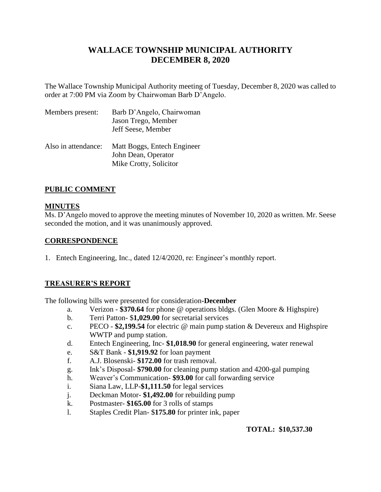# **WALLACE TOWNSHIP MUNICIPAL AUTHORITY DECEMBER 8, 2020**

The Wallace Township Municipal Authority meeting of Tuesday, December 8, 2020 was called to order at 7:00 PM via Zoom by Chairwoman Barb D'Angelo.

| Members present:    | Barb D'Angelo, Chairwoman<br>Jason Trego, Member<br>Jeff Seese, Member       |
|---------------------|------------------------------------------------------------------------------|
| Also in attendance: | Matt Boggs, Entech Engineer<br>John Dean, Operator<br>Mike Crotty, Solicitor |

# **PUBLIC COMMENT**

# **MINUTES**

Ms. D'Angelo moved to approve the meeting minutes of November 10, 2020 as written. Mr. Seese seconded the motion, and it was unanimously approved.

# **CORRESPONDENCE**

1. Entech Engineering, Inc., dated 12/4/2020, re: Engineer's monthly report.

# **TREASURER'S REPORT**

The following bills were presented for consideration**-December**

- a. Verizon **\$370.64** for phone @ operations bldgs. (Glen Moore & Highspire)
- b. Terri Patton- \$**1,029.00** for secretarial services
- c. PECO **\$2,199.54** for electric @ main pump station & Devereux and Highspire WWTP and pump station.
- d. Entech Engineering, Inc- **\$1,018.90** for general engineering, water renewal
- e. S&T Bank **\$1,919.92** for loan payment
- f. A.J. Blosenski- **\$172.00** for trash removal.
- g. Ink's Disposal- **\$790.00** for cleaning pump station and 4200-gal pumping
- h. Weaver's Communication- **\$93.00** for call forwarding service
- i. Siana Law, LLP-**\$1,111.50** for legal services
- j. Deckman Motor- **\$1,492.00** for rebuilding pump
- k. Postmaster- **\$165.00** for 3 rolls of stamps
- l. Staples Credit Plan- \$**175.80** for printer ink, paper

# **TOTAL: \$10,537.30**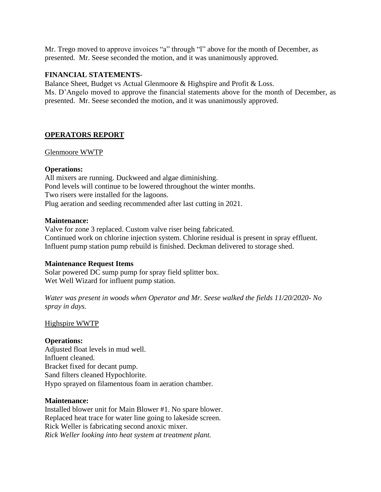Mr. Trego moved to approve invoices "a" through "l" above for the month of December, as presented. Mr. Seese seconded the motion, and it was unanimously approved.

## **FINANCIAL STATEMENTS**-

Balance Sheet, Budget vs Actual Glenmoore & Highspire and Profit & Loss. Ms. D'Angelo moved to approve the financial statements above for the month of December, as presented. Mr. Seese seconded the motion, and it was unanimously approved.

# **OPERATORS REPORT**

## Glenmoore WWTP

## **Operations:**

All mixers are running. Duckweed and algae diminishing. Pond levels will continue to be lowered throughout the winter months. Two risers were installed for the lagoons. Plug aeration and seeding recommended after last cutting in 2021.

## **Maintenance:**

Valve for zone 3 replaced. Custom valve riser being fabricated. Continued work on chlorine injection system. Chlorine residual is present in spray effluent. Influent pump station pump rebuild is finished. Deckman delivered to storage shed.

## **Maintenance Request Items**

Solar powered DC sump pump for spray field splitter box. Wet Well Wizard for influent pump station.

*Water was present in woods when Operator and Mr. Seese walked the fields 11/20/2020- No spray in days.*

## Highspire WWTP

## **Operations:**

Adjusted float levels in mud well. Influent cleaned. Bracket fixed for decant pump. Sand filters cleaned Hypochlorite. Hypo sprayed on filamentous foam in aeration chamber.

## **Maintenance:**

Installed blower unit for Main Blower #1. No spare blower. Replaced heat trace for water line going to lakeside screen. Rick Weller is fabricating second anoxic mixer. *Rick Weller looking into heat system at treatment plant.*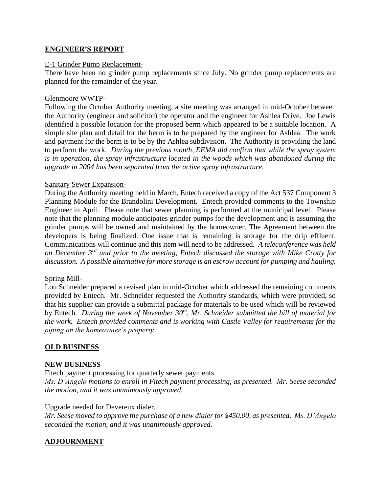# **ENGINEER'S REPORT**

#### E-1 Grinder Pump Replacement-

There have been no grinder pump replacements since July. No grinder pump replacements are planned for the remainder of the year.

#### Glenmoore WWTP-

Following the October Authority meeting, a site meeting was arranged in mid-October between the Authority (engineer and solicitor) the operator and the engineer for Ashlea Drive. Joe Lewis identified a possible location for the proposed berm which appeared to be a suitable location. A simple site plan and detail for the berm is to be prepared by the engineer for Ashlea. The work and payment for the berm is to be by the Ashlea subdivision. The Authority is providing the land to perform the work. *During the previous month, EEMA did confirm that while the spray system is in operation, the spray infrastructure located in the woods which was abandoned during the upgrade in 2004 has been separated from the active spray infrastructure.*

#### Sanitary Sewer Expansion-

During the Authority meeting held in March, Entech received a copy of the Act 537 Component 3 Planning Module for the Brandolini Development. Entech provided comments to the Township Engineer in April. Please note that sewer planning is performed at the municipal level. Please note that the planning module anticipates grinder pumps for the development and is assuming the grinder pumps will be owned and maintained by the homeowner. The Agreement between the developers is being finalized. One issue that is remaining is storage for the drip effluent. Communications will continue and this item will need to be addressed. *A teleconference was held on December 3rd and prior to the meeting, Entech discussed the storage with Mike Crotty for discussion. A possible alternative for more storage is an escrow account for pumping and hauling.*

## Spring Mill-

Lou Schneider prepared a revised plan in mid-October which addressed the remaining comments provided by Entech. Mr. Schneider requested the Authority standards, which were provided, so that his supplier can provide a submittal package for materials to be used which will be reviewed by Entech. *During the week of November 30th, Mr. Schneider submitted the bill of material for the work. Entech provided comments and is working with Castle Valley for requirements for the piping on the homeowner's property.*

## **OLD BUSINESS**

## **NEW BUSINESS**

Fitech payment processing for quarterly sewer payments.

*Ms. D'Angelo motions to enroll in Fitech payment processing, as presented. Mr. Seese seconded the motion, and it was unanimously approved.* 

Upgrade needed for Devereux dialer.

*Mr. Seese moved to approve the purchase of a new dialer for \$450.00, as presented. Ms. D'Angelo seconded the motion, and it was unanimously approved.* 

## **ADJOURNMENT**